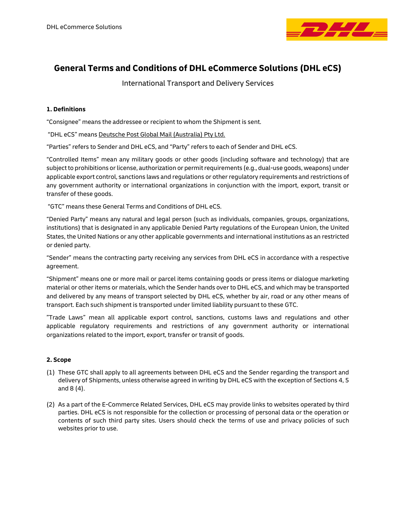

# **General Terms and Conditions of DHL eCommerce Solutions (DHL eCS)**

International Transport and Delivery Services

## **1. Definitions**

"Consignee" means the addressee or recipient to whom the Shipment is sent.

"DHL eCS" means Deutsche Post Global Mail (Australia) Pty Ltd.

"Parties" refers to Sender and DHL eCS, and "Party" refers to each of Sender and DHL eCS.

"Controlled Items" mean any military goods or other goods (including software and technology) that are subject to prohibitions or license, authorization or permit requirements (e.g., dual-use goods, weapons) under applicable export control, sanctions laws and regulations or other regulatory requirements and restrictions of any government authority or international organizations in conjunction with the import, export, transit or transfer of these goods.

"GTC" means these General Terms and Conditions of DHL eCS.

"Denied Party" means any natural and legal person (such as individuals, companies, groups, organizations, institutions) that is designated in any applicable Denied Party regulations of the European Union, the United States, the United Nations or any other applicable governments and international institutions as an restricted or denied party.

"Sender" means the contracting party receiving any services from DHL eCS in accordance with a respective agreement.

"Shipment" means one or more mail or parcel items containing goods or press items or dialogue marketing material or other items or materials, which the Sender hands over to DHL eCS, and which may be transported and delivered by any means of transport selected by DHL eCS, whether by air, road or any other means of transport. Each such shipment is transported under limited liability pursuant to these GTC.

"Trade Laws" mean all applicable export control, sanctions, customs laws and regulations and other applicable regulatory requirements and restrictions of any government authority or international organizations related to the import, export, transfer or transit of goods.

## **2. Scope**

- (1) These GTC shall apply to all agreements between DHL eCS and the Sender regarding the transport and delivery of Shipments, unless otherwise agreed in writing by DHL eCS with the exception of Sections 4, 5 and 8 (4).
- (2) As a part of the E-Commerce Related Services, DHL eCS may provide links to websites operated by third parties. DHL eCS is not responsible for the collection or processing of personal data or the operation or contents of such third party sites. Users should check the terms of use and privacy policies of such websites prior to use.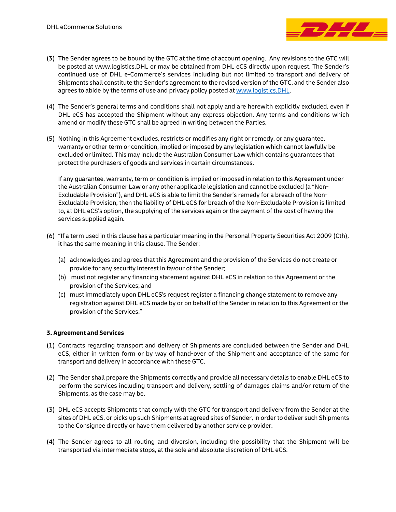

- (3) The Sender agrees to be bound by the GTC at the time of account opening. Any revisions to the GTC will be posted at www.logistics.DHL or may be obtained from DHL eCS directly upon request. The Sender's continued use of DHL e-Commerce's services including but not limited to transport and delivery of Shipments shall constitute the Sender's agreement to the revised version of the GTC, and the Sender also agrees to abide by the terms of use and privacy policy posted a[t www.logistics.DHL.](http://www.logistics.dhl/)
- (4) The Sender's general terms and conditions shall not apply and are herewith explicitly excluded, even if DHL eCS has accepted the Shipment without any express objection. Any terms and conditions which amend or modify these GTC shall be agreed in writing between the Parties.
- (5) Nothing in this Agreement excludes, restricts or modifies any right or remedy, or any guarantee, warranty or other term or condition, implied or imposed by any legislation which cannot lawfully be excluded or limited. This may include the Australian Consumer Law which contains guarantees that protect the purchasers of goods and services in certain circumstances.

If any guarantee, warranty, term or condition is implied or imposed in relation to this Agreement under the Australian Consumer Law or any other applicable legislation and cannot be excluded (a "Non-Excludable Provision"), and DHL eCS is able to limit the Sender's remedy for a breach of the Non-Excludable Provision, then the liability of DHL eCS for breach of the Non-Excludable Provision is limited to, at DHL eCS's option, the supplying of the services again or the payment of the cost of having the services supplied again.

- (6) "If a term used in this clause has a particular meaning in the Personal Property Securities Act 2009 (Cth), it has the same meaning in this clause. The Sender:
	- (a) acknowledges and agrees that this Agreement and the provision of the Services do not create or provide for any security interest in favour of the Sender;
	- (b) must not register any financing statement against DHL eCS in relation to this Agreement or the provision of the Services; and
	- (c) must immediately upon DHL eCS's request register a financing change statement to remove any registration against DHL eCS made by or on behalf of the Sender in relation to this Agreement or the provision of the Services."

## **3. Agreement and Services**

- (1) Contracts regarding transport and delivery of Shipments are concluded between the Sender and DHL eCS, either in written form or by way of hand-over of the Shipment and acceptance of the same for transport and delivery in accordance with these GTC.
- (2) The Sender shall prepare the Shipments correctly and provide all necessary details to enable DHL eCS to perform the services including transport and delivery, settling of damages claims and/or return of the Shipments, as the case may be.
- (3) DHL eCS accepts Shipments that comply with the GTC for transport and delivery from the Sender at the sites of DHL eCS, or picks up such Shipments at agreed sites of Sender, in order to deliver such Shipments to the Consignee directly or have them delivered by another service provider.
- (4) The Sender agrees to all routing and diversion, including the possibility that the Shipment will be transported via intermediate stops, at the sole and absolute discretion of DHL eCS.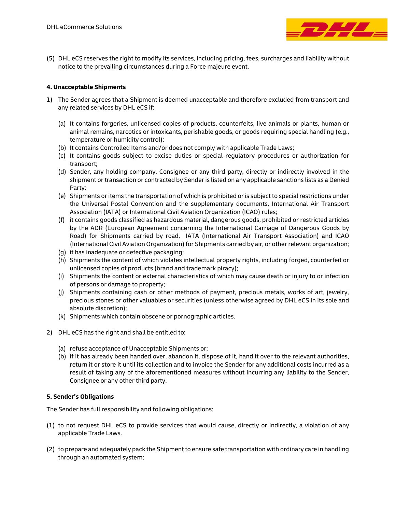

(5) DHL eCS reserves the right to modify its services, including pricing, fees, surcharges and liability without notice to the prevailing circumstances during a Force majeure event.

## **4. Unacceptable Shipments**

- 1) The Sender agrees that a Shipment is deemed unacceptable and therefore excluded from transport and any related services by DHL eCS if:
	- (a) It contains forgeries, unlicensed copies of products, counterfeits, live animals or plants, human or animal remains, narcotics or intoxicants, perishable goods, or goods requiring special handling (e.g., temperature or humidity control);
	- (b) It contains Controlled Items and/or does not comply with applicable Trade Laws;
	- (c) It contains goods subject to excise duties or special regulatory procedures or authorization for transport;
	- (d) Sender, any holding company, Consignee or any third party, directly or indirectly involved in the shipment or transaction or contracted by Senderis listed on any applicable sanctions lists as a Denied Party;
	- (e) Shipments or items the transportation of which is prohibited or is subject to special restrictions under the Universal Postal Convention and the supplementary documents, International Air Transport Association (IATA) or International Civil Aviation Organization (ICAO) rules;
	- (f) it contains goods classified as hazardous material, dangerous goods, prohibited or restricted articles by the ADR (European Agreement concerning the International Carriage of Dangerous Goods by Road) for Shipments carried by road, IATA (International Air Transport Association) and ICAO (International Civil Aviation Organization) for Shipments carried by air, or other relevant organization;
	- (g) it has inadequate or defective packaging;
	- (h) Shipments the content of which violates intellectual property rights, including forged, counterfeit or unlicensed copies of products (brand and trademark piracy);
	- (i) Shipments the content or external characteristics of which may cause death or injury to or infection of persons or damage to property;
	- (j) Shipments containing cash or other methods of payment, precious metals, works of art, jewelry, precious stones or other valuables or securities (unless otherwise agreed by DHL eCS in its sole and absolute discretion);
	- (k) Shipments which contain obscene or pornographic articles.
- 2) DHL eCS has the right and shall be entitled to:
	- (a) refuse acceptance of Unacceptable Shipments or;
	- (b) if it has already been handed over, abandon it, dispose of it, hand it over to the relevant authorities, return it or store it until its collection and to invoice the Sender for any additional costs incurred as a result of taking any of the aforementioned measures without incurring any liability to the Sender, Consignee or any other third party.

# **5. Sender's Obligations**

The Sender has full responsibility and following obligations:

- (1) to not request DHL eCS to provide services that would cause, directly or indirectly, a violation of any applicable Trade Laws.
- (2) to prepare and adequately pack the Shipment to ensure safe transportation with ordinary care in handling through an automated system;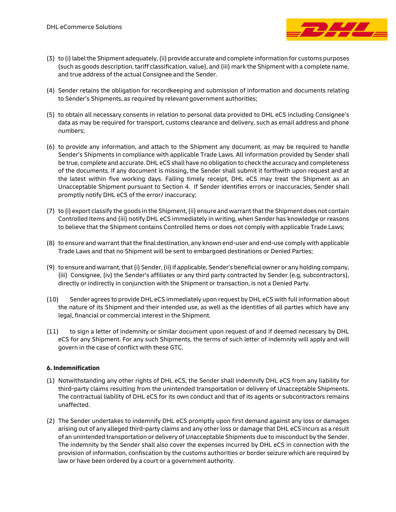

- (3) to (i) label the Shipment adequately, (ii) provide accurate and complete information for customs purposes (such as goods description, tariff classification, value), and (iii) mark the Shipment with a complete name, and true address of the actual Consignee and the Sender.
- (4) Sender retains the obligation for recordkeeping and submission of information and documents relating to Sender's Shipments, as required by relevant government authorities;
- (5) to obtain all necessary consents in relation to personal data provided to DHL eCS including Consignee's data as may be required for transport, customs clearance and delivery, such as email address and phone numbers;
- (6) to provide any information, and attach to the Shipment any document, as may be required to handle Sender's Shipments in compliance with applicable Trade Laws. All information provided by Sender shall be true, complete and accurate. DHL eCS shall have no obligation to check the accuracy and completeness of the documents. If any document is missing, the Sender shall submit it forthwith upon request and at the latest within five working days. Failing timely receipt, DHL eCS may treat the Shipment as an Unacceptable Shipment pursuant to Section 4. If Sender identifies errors or inaccuracies, Sender shall promptly notify DHL eCS of the error/ inaccuracy;
- (7) to (i) export classify the goods in the Shipment,(ii) ensure and warrant that the Shipment does not contain Controlled Items and (iii) notify DHL eCS immediately in writing, when Sender has knowledge or reasons to believe that the Shipment contains Controlled Items or does not comply with applicable Trade Laws;
- (8) to ensure and warrant that the final destination, any known end-user and end-use comply with applicable Trade Laws and that no Shipment will be sent to embargoed destinations or Denied Parties;
- (9) to ensure and warrant, that (i) Sender, (ii) if applicable, Sender's beneficial owner or any holding company, (iii) Consignee, (iv) the Sender's affiliates or any third party contracted by Sender (e.g, subcontractors), directly or indirectly in conjunction with the Shipment or transaction, is not a Denied Party.
- (10) Sender agrees to provide DHL eCS immediately upon request by DHL eCS with full information about the nature of its Shipment and their intended use, as well as the identities of all parties which have any legal, financial or commercial interest in the Shipment.
- (11) to sign a letter of indemnity or similar document upon request of and if deemed necessary by DHL eCS for any Shipment. For any such Shipments, the terms of such letter of indemnity will apply and will govern in the case of conflict with these GTC.

## **6. Indemnification**

- (1) Notwithstanding any other rights of DHL eCS, the Sender shall indemnify DHL eCS from any liability for third-party claims resulting from the unintended transportation or delivery of Unacceptable Shipments. The contractual liability of DHL eCS for its own conduct and that of its agents or subcontractors remains unaffected.
- (2) The Sender undertakes to indemnify DHL eCS promptly upon first demand against any loss or damages arising out of any alleged third-party claims and any other loss or damage that DHL eCS incurs as a result of an unintended transportation or delivery of Unacceptable Shipments due to misconduct by the Sender. The indemnity by the Sender shall also cover the expenses incurred by DHL eCS in connection with the provision of information, confiscation by the customs authorities or border seizure which are required by law or have been ordered by a court or a government authority.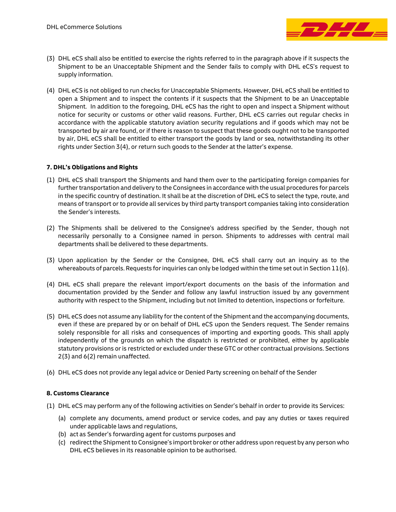

- (3) DHL eCS shall also be entitled to exercise the rights referred to in the paragraph above if it suspects the Shipment to be an Unacceptable Shipment and the Sender fails to comply with DHL eCS's request to supply information.
- (4) DHL eCS is not obliged to run checks for Unacceptable Shipments. However, DHL eCS shall be entitled to open a Shipment and to inspect the contents if it suspects that the Shipment to be an Unacceptable Shipment. In addition to the foregoing, DHL eCS has the right to open and inspect a Shipment without notice for security or customs or other valid reasons. Further, DHL eCS carries out regular checks in accordance with the applicable statutory aviation security regulations and if goods which may not be transported by air are found, or if there is reason to suspect that these goods ought not to be transported by air, DHL eCS shall be entitled to either transport the goods by land or sea, notwithstanding its other rights under Section 3(4), or return such goods to the Sender at the latter's expense.

## **7. DHL's Obligations and Rights**

- (1) DHL eCS shall transport the Shipments and hand them over to the participating foreign companies for further transportation and delivery to the Consignees in accordance with the usual procedures for parcels in the specific country of destination. It shall be at the discretion of DHL eCS to select the type, route, and means of transport or to provide all services by third party transport companies taking into consideration the Sender's interests.
- (2) The Shipments shall be delivered to the Consignee's address specified by the Sender, though not necessarily personally to a Consignee named in person. Shipments to addresses with central mail departments shall be delivered to these departments.
- (3) Upon application by the Sender or the Consignee, DHL eCS shall carry out an inquiry as to the whereabouts of parcels. Requests for inquiries can only be lodged within the time set out in Section  $11(6)$ .
- (4) DHL eCS shall prepare the relevant import/export documents on the basis of the information and documentation provided by the Sender and follow any lawful instruction issued by any government authority with respect to the Shipment, including but not limited to detention, inspections or forfeiture.
- (5) DHL eCS does not assume any liability for the content of the Shipment and the accompanying documents, even if these are prepared by or on behalf of DHL eCS upon the Senders request. The Sender remains solely responsible for all risks and consequences of importing and exporting goods. This shall apply independently of the grounds on which the dispatch is restricted or prohibited, either by applicable statutory provisions or is restricted or excluded under these GTC or other contractual provisions. Sections 2(3) and 6(2) remain unaffected.
- (6) DHL eCS does not provide any legal advice or Denied Party screening on behalf of the Sender

# **8. Customs Clearance**

- (1) DHL eCS may perform any of the following activities on Sender's behalf in order to provide its Services:
	- (a) complete any documents, amend product or service codes, and pay any duties or taxes required under applicable laws and regulations,
	- (b) act as Sender's forwarding agent for customs purposes and
	- (c) redirect the Shipment to Consignee's import broker or other address upon request by any person who DHL eCS believes in its reasonable opinion to be authorised.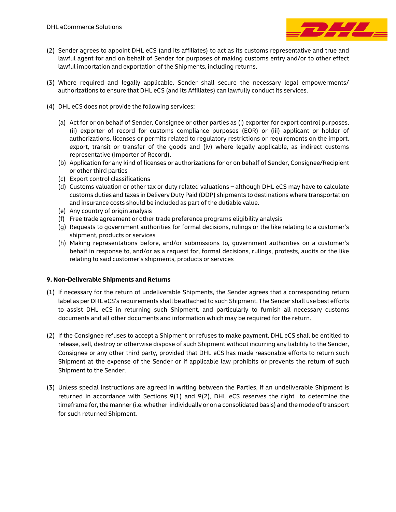

- (2) Sender agrees to appoint DHL eCS (and its affiliates) to act as its customs representative and true and lawful agent for and on behalf of Sender for purposes of making customs entry and/or to other effect lawful importation and exportation of the Shipments, including returns.
- (3) Where required and legally applicable, Sender shall secure the necessary legal empowerments/ authorizations to ensure that DHL eCS (and its Affiliates) can lawfully conduct its services.
- (4) DHL eCS does not provide the following services:
	- (a) Act for or on behalf of Sender, Consignee or other parties as (i) exporter for export control purposes, (ii) exporter of record for customs compliance purposes (EOR) or (iii) applicant or holder of authorizations, licenses or permits related to regulatory restrictions or requirements on the import, export, transit or transfer of the goods and (iv) where legally applicable, as indirect customs representative (Importer of Record).
	- (b) Application for any kind of licenses or authorizations for or on behalf of Sender, Consignee/Recipient or other third parties
	- (c) Export control classifications
	- (d) Customs valuation or other tax or duty related valuations although DHL eCS may have to calculate customs duties and taxes in Delivery Duty Paid (DDP) shipments to destinations where transportation and insurance costs should be included as part of the dutiable value.
	- (e) Any country of origin analysis
	- (f) Free trade agreement or other trade preference programs eligibility analysis
	- (g) Requests to government authorities for formal decisions, rulings or the like relating to a customer's shipment, products or services
	- (h) Making representations before, and/or submissions to, government authorities on a customer's behalf in response to, and/or as a request for, formal decisions, rulings, protests, audits or the like relating to said customer's shipments, products or services

## **9. Non-Deliverable Shipments and Returns**

- (1) If necessary for the return of undeliverable Shipments, the Sender agrees that a corresponding return label as per DHL eCS's requirements shall be attached to such Shipment. The Sender shall use best efforts to assist DHL eCS in returning such Shipment, and particularly to furnish all necessary customs documents and all other documents and information which may be required for the return.
- (2) If the Consignee refuses to accept a Shipment or refuses to make payment, DHL eCS shall be entitled to release, sell, destroy or otherwise dispose of such Shipment without incurring any liability to the Sender, Consignee or any other third party, provided that DHL eCS has made reasonable efforts to return such Shipment at the expense of the Sender or if applicable law prohibits or prevents the return of such Shipment to the Sender.
- (3) Unless special instructions are agreed in writing between the Parties, if an undeliverable Shipment is returned in accordance with Sections 9(1) and 9(2), DHL eCS reserves the right to determine the timeframe for, the manner (i.e. whether individually or on a consolidated basis) and the mode of transport for such returned Shipment.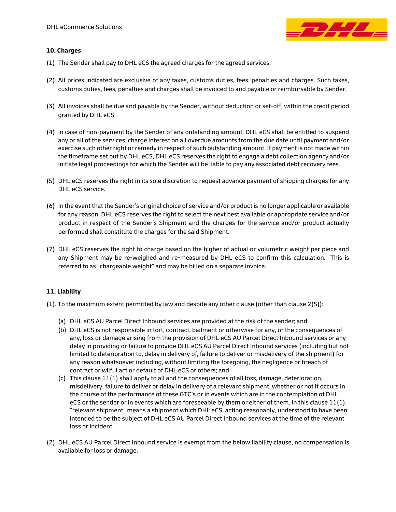

## **10. Charges**

- (1) The Sender shall pay to DHL eCS the agreed charges for the agreed services.
- (2) All prices indicated are exclusive of any taxes, customs duties, fees, penalties and charges. Such taxes, customs duties, fees, penalties and charges shall be invoiced to and payable or reimbursable by Sender.
- (3) All invoices shall be due and payable by the Sender, without deduction or set-off, within the credit period granted by DHL eCS.
- (4) In case of non-payment by the Sender of any outstanding amount, DHL eCS shall be entitled to suspend any or all of the services, charge interest on all overdue amounts from the due date until payment and/or exercise such other right or remedy in respect of such outstanding amount. If payment is not made within the timeframe set out by DHL eCS, DHL eCS reserves the right to engage a debt collection agency and/or initiate legal proceedings for which the Sender will be liable to pay any associated debt recovery fees.
- (5) DHL eCS reserves the right in its sole discretion to request advance payment of shipping charges for any DHL eCS service.
- (6) In the event that the Sender's original choice of service and/or product is no longer applicable or available for any reason, DHL eCS reserves the right to select the next best available or appropriate service and/or product in respect of the Sender's Shipment and the charges for the service and/or product actually performed shall constitute the charges for the said Shipment.
- (7) DHL eCS reserves the right to charge based on the higher of actual or volumetric weight per piece and any Shipment may be re-weighed and re-measured by DHL eCS to confirm this calculation. This is referred to as "chargeable weight" and may be billed on a separate invoice.

# **11. Liability**

- (1). To the maximum extent permitted by law and despite any other clause (other than clause 2(5)):
	- (a) DHL eCS AU Parcel Direct Inbound services are provided at the risk of the sender; and
	- (b) DHL eCS is not responsible in tort, contract, bailment or otherwise for any, or the consequences of any, loss or damage arising from the provision of DHL eCS AU Parcel Direct Inbound services or any delay in providing or failure to provide DHL eCS AU Parcel Direct Inbound services (including but not limited to deterioration to, delay in delivery of, failure to deliver or misdelivery of the shipment) for any reason whatsoever including, without limiting the foregoing, the negligence or breach of contract or wilful act or default of DHL eCS or others; and
	- (c) This clause  $11(1)$  shall apply to all and the consequences of all loss, damage, deterioration, misdelivery, failure to deliver or delay in delivery of a relevant shipment, whether or not it occurs in the course of the performance of these GTC's or in events which are in the contemplation of DHL eCS or the sender or in events which are foreseeable by them or either of them. In this clause  $11(1)$ , "relevant shipment" means a shipment which DHL eCS, acting reasonably, understood to have been intended to be the subject of DHL eCS AU Parcel Direct Inbound services at the time of the relevant loss or incident.
- (2) DHL eCS AU Parcel Direct Inbound service is exempt from the below liability clause, no compensation is available for loss or damage.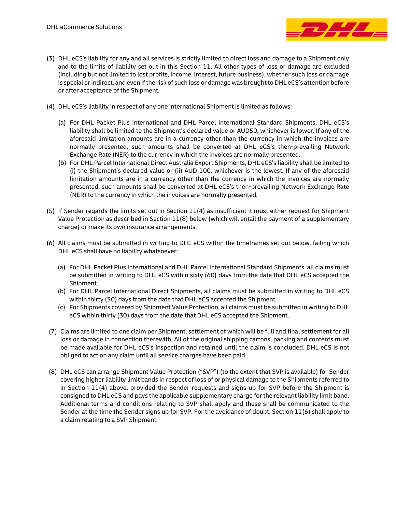

- (3) DHL eCS's liability for any and all services is strictly limited to direct loss and damage to a Shipment only and to the limits of liability set out in this Section 11. All other types of loss or damage are excluded (including but not limited to lost profits, income, interest, future business), whether such loss or damage is special or indirect, and even if the risk of such loss or damage was brought to DHL eCS's attention before or after acceptance of the Shipment.
- (4) DHL eCS's liability in respect of any one international Shipment is limited as follows:
	- (a) For DHL Packet Plus International and DHL Parcel International Standard Shipments, DHL eCS's liability shall be limited to the Shipment's declared value or AUD50, whichever is lower. If any of the aforesaid limitation amounts are in a currency other than the currency in which the invoices are normally presented, such amounts shall be converted at DHL eCS's then-prevailing Network Exchange Rate (NER) to the currency in which the invoices are normally presented.
	- (b) For DHL Parcel International Direct Australia Export Shipments, DHL eCS's liability shall be limited to (i) the Shipment's declared value or (ii) AUD 100, whichever is the lowest. If any of the aforesaid limitation amounts are in a currency other than the currency in which the invoices are normally presented, such amounts shall be converted at DHL eCS's then-prevailing Network Exchange Rate (NER) to the currency in which the invoices are normally presented.
- (5) If Sender regards the limits set out in Section 11(4) as insufficient it must either request for Shipment Value Protection as described in Section 11(8) below (which will entail the payment of a supplementary charge) or make its own insurance arrangements.
- (6) All claims must be submitted in writing to DHL eCS within the timeframes set out below, failing which DHL eCS shall have no liability whatsoever:
	- (a) For DHL Packet Plus International and DHL Parcel International Standard Shipments, all claims must be submitted in writing to DHL eCS within sixty (60) days from the date that DHL eCS accepted the Shipment.
	- (b) For DHL Parcel International Direct Shipments, all claims must be submitted in writing to DHL eCS within thirty (30) days from the date that DHL eCS accepted the Shipment.
	- (c) For Shipments covered by Shipment Value Protection, all claims must be submitted in writing to DHL eCS within thirty (30) days from the date that DHL eCS accepted the Shipment.
- (7) Claims are limited to one claim per Shipment, settlement of which will be full and final settlement for all loss or damage in connection therewith. All of the original shipping cartons, packing and contents must be made available for DHL eCS's inspection and retained until the claim is concluded. DHL eCS is not obliged to act on any claim until all service charges have been paid.
- (8) DHL eCS can arrange Shipment Value Protection ("SVP") (to the extent that SVP is available) for Sender covering higher liability limit bands in respect of loss of or physical damage to the Shipments referred to in Section 11(4) above, provided the Sender requests and signs up for SVP before the Shipment is consigned to DHL eCS and pays the applicable supplementary charge for the relevant liability limit band. Additional terms and conditions relating to SVP shall apply and these shall be communicated to the Sender at the time the Sender signs up for SVP. For the avoidance of doubt, Section 11(6) shall apply to a claim relating to a SVP Shipment.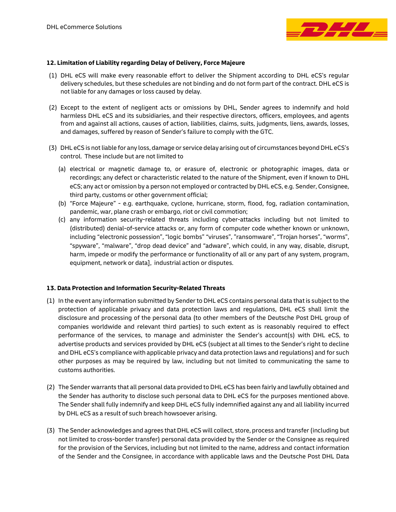

## **12. Limitation of Liability regarding Delay of Delivery, Force Majeure**

- (1) DHL eCS will make every reasonable effort to deliver the Shipment according to DHL eCS's regular delivery schedules, but these schedules are not binding and do not form part of the contract. DHL eCS is not liable for any damages or loss caused by delay.
- (2) Except to the extent of negligent acts or omissions by DHL, Sender agrees to indemnify and hold harmless DHL eCS and its subsidiaries, and their respective directors, officers, employees, and agents from and against all actions, causes of action, liabilities, claims, suits, judgments, liens, awards, losses, and damages, suffered by reason of Sender's failure to comply with the GTC.
- (3) DHL eCS is not liable for any loss, damage or service delay arising out of circumstances beyond DHL eCS's control. These include but are not limited to
	- (a) electrical or magnetic damage to, or erasure of, electronic or photographic images, data or recordings; any defect or characteristic related to the nature of the Shipment, even if known to DHL eCS; any act or omission by a person not employed or contracted by DHL eCS, e.g. Sender, Consignee, third party, customs or other government official;
	- (b) "Force Majeure" e.g. earthquake, cyclone, hurricane, storm, flood, fog, radiation contamination, pandemic, war, plane crash or embargo, riot or civil commotion;
	- (c) any information security-related threats including cyber-attacks including but not limited to (distributed) denial-of-service attacks or, any form of computer code whether known or unknown, including "electronic possession", "logic bombs" "viruses", "ransomware", "Trojan horses", "worms", "spyware", "malware", "drop dead device" and "adware", which could, in any way, disable, disrupt, harm, impede or modify the performance or functionality of all or any part of any system, program, equipment, network or data], industrial action or disputes.

## **13. Data Protection and Information Security-Related Threats**

- (1) In the event any information submitted by Sender to DHL eCS contains personal data that is subject to the protection of applicable privacy and data protection laws and regulations, DHL eCS shall limit the disclosure and processing of the personal data (to other members of the Deutsche Post DHL group of companies worldwide and relevant third parties) to such extent as is reasonably required to effect performance of the services, to manage and administer the Sender's account(s) with DHL eCS, to advertise products and services provided by DHL eCS (subject at all times to the Sender's right to decline and DHL eCS's compliance with applicable privacy and data protection laws and regulations) and for such other purposes as may be required by law, including but not limited to communicating the same to customs authorities.
- (2) The Sender warrants that all personal data provided to DHL eCS has been fairly and lawfully obtained and the Sender has authority to disclose such personal data to DHL eCS for the purposes mentioned above. The Sender shall fully indemnify and keep DHL eCS fully indemnified against any and all liability incurred by DHL eCS as a result of such breach howsoever arising.
- (3) The Sender acknowledges and agrees that DHL eCS will collect, store, process and transfer(including but not limited to cross-border transfer) personal data provided by the Sender or the Consignee as required for the provision of the Services, including but not limited to the name, address and contact information of the Sender and the Consignee, in accordance with applicable laws and the Deutsche Post DHL Data